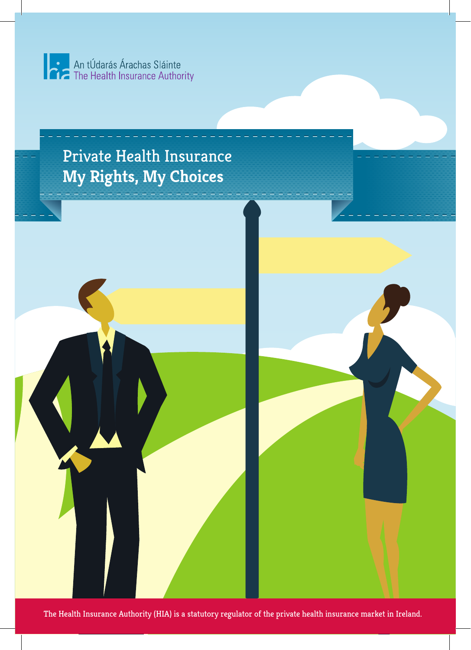



The Health Insurance Authority (HIA) is a statutory regulator of the private health insurance market in Ireland.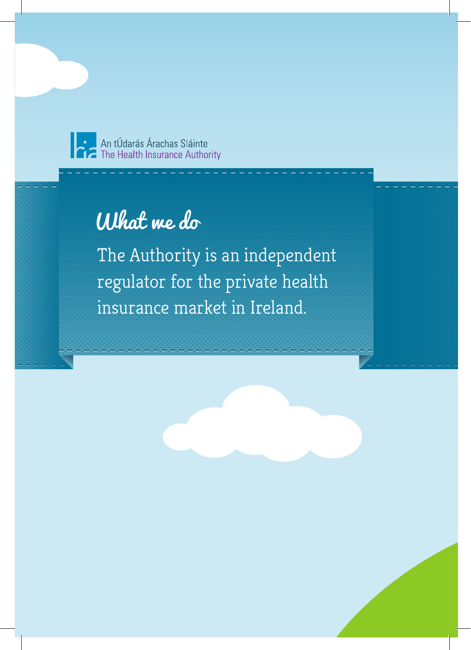

The Health Insurance Authority

# What we do

The Authority is an independent regulator for the private health insurance market in Ireland.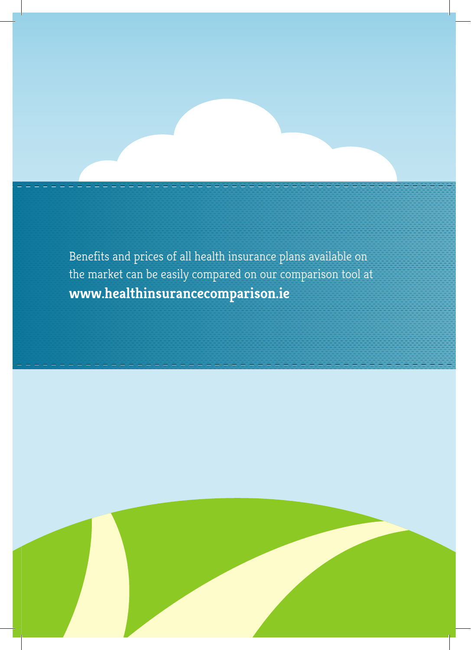Benefits and prices of all health insurance plans available on the market can be easily compared on our comparison tool at **www.healthinsurancecomparison.ie**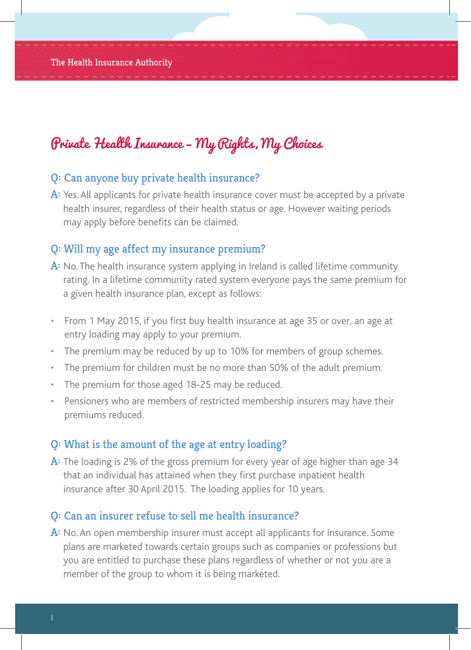#### Q: Can anyone buy private health insurance?

A: Yes. All applicants for private health insurance cover must be accepted by a private health insurer, regardless of their health status or age. However waiting periods may apply before benefits can be claimed.

#### Q: Will my age affect my insurance premium?

- A: No. The health insurance system applying in Ireland is called lifetime community rating. In a lifetime community rated system everyone pays the same premium for a given health insurance plan, except as follows:
- From 1 May 2015, if you first buy health insurance at age 35 or over, an age at entry loading may apply to your premium.
- The premium may be reduced by up to 10% for members of group schemes.
- The premium for children must be no more than 50% of the adult premium.
- The premium for those aged 18-25 may be reduced.
- Pensioners who are members of restricted membership insurers may have their premiums reduced.

#### Q: What is the amount of the age at entry loading?

A: The loading is 2% of the gross premium for every year of age higher than age 34 that an individual has attained when they first purchase inpatient health insurance after 30 April 2015. The loading applies for 10 years.

#### Q: Can an insurer refuse to sell me health insurance?

A: No. An open membership insurer must accept all applicants for insurance. Some plans are marketed towards certain groups such as companies or professions but you are entitled to purchase these plans regardless of whether or not you are a member of the group to whom it is being marketed.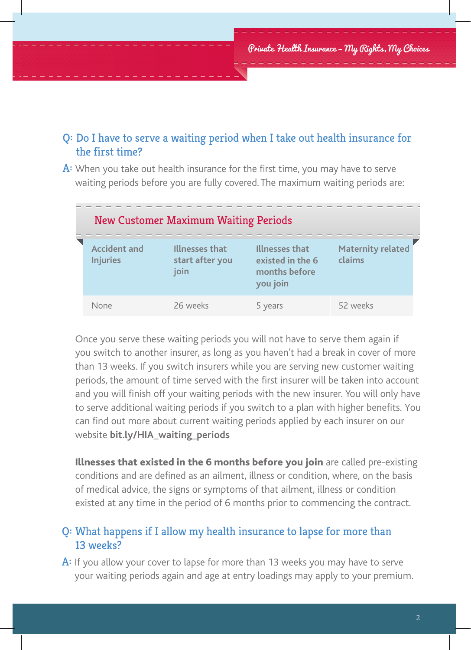#### Q: Do I have to serve a waiting period when I take out health insurance for the first time?

A: When you take out health insurance for the first time, you may have to serve waiting periods before you are fully covered. The maximum waiting periods are:

| <b>New Customer Maximum Waiting Periods</b> |                                           |                                                                 |                                    |
|---------------------------------------------|-------------------------------------------|-----------------------------------------------------------------|------------------------------------|
| <b>Accident and</b><br><b>Injuries</b>      | Illnesses that<br>start after you<br>join | Illnesses that<br>existed in the 6<br>months before<br>you join | <b>Maternity related</b><br>claims |
| None                                        | 26 weeks                                  | 5 years                                                         | 52 weeks                           |

Once you serve these waiting periods you will not have to serve them again if you switch to another insurer, as long as you haven't had a break in cover of more than 13 weeks. If you switch insurers while you are serving new customer waiting periods, the amount of time served with the first insurer will be taken into account and you will finish off your waiting periods with the new insurer. You will only have to serve additional waiting periods if you switch to a plan with higher benefits. You can find out more about current waiting periods applied by each insurer on our website **bit.ly/HIA\_waiting\_periods**

Illnesses that existed in the 6 months before you join are called pre-existing conditions and are defined as an ailment, illness or condition, where, on the basis of medical advice, the signs or symptoms of that ailment, illness or condition existed at any time in the period of 6 months prior to commencing the contract.

#### Q: What happens if I allow my health insurance to lapse for more than 13 weeks?

A: If you allow your cover to lapse for more than 13 weeks you may have to serve your waiting periods again and age at entry loadings may apply to your premium.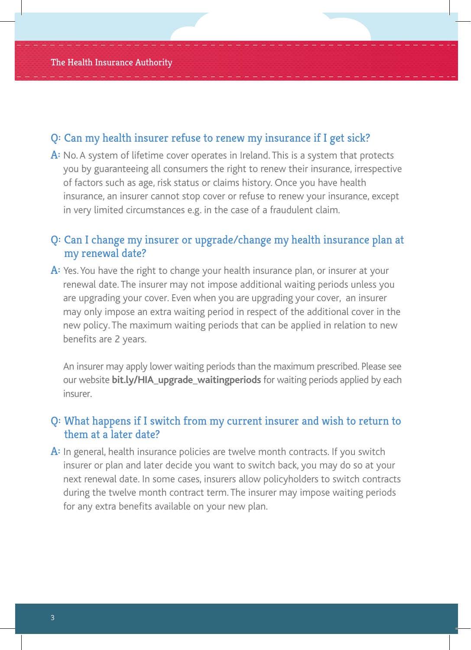#### Q: Can my health insurer refuse to renew my insurance if I get sick?

A: No. A system of lifetime cover operates in Ireland. This is a system that protects you by guaranteeing all consumers the right to renew their insurance, irrespective of factors such as age, risk status or claims history. Once you have health insurance, an insurer cannot stop cover or refuse to renew your insurance, except in very limited circumstances e.g. in the case of a fraudulent claim.

#### Q: Can I change my insurer or upgrade/change my health insurance plan at my renewal date?

A: Yes. You have the right to change your health insurance plan, or insurer at your renewal date. The insurer may not impose additional waiting periods unless you are upgrading your cover. Even when you are upgrading your cover, an insurer may only impose an extra waiting period in respect of the additional cover in the new policy. The maximum waiting periods that can be applied in relation to new benefits are 2 years.

An insurer may apply lower waiting periods than the maximum prescribed. Please see our website **bit.ly/HIA\_upgrade\_waitingperiods** for waiting periods applied by each insurer.

#### Q: What happens if I switch from my current insurer and wish to return to them at a later date?

A: In general, health insurance policies are twelve month contracts. If you switch insurer or plan and later decide you want to switch back, you may do so at your next renewal date. In some cases, insurers allow policyholders to switch contracts during the twelve month contract term. The insurer may impose waiting periods for any extra benefits available on your new plan.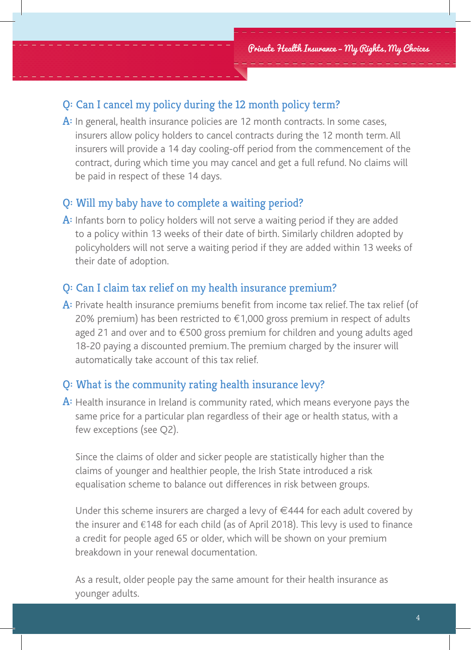#### Q: Can I cancel my policy during the 12 month policy term?

A: In general, health insurance policies are 12 month contracts. In some cases, insurers allow policy holders to cancel contracts during the 12 month term. All insurers will provide a 14 day cooling-off period from the commencement of the contract, during which time you may cancel and get a full refund. No claims will be paid in respect of these 14 days.

#### Q: Will my baby have to complete a waiting period?

A: Infants born to policy holders will not serve a waiting period if they are added to a policy within 13 weeks of their date of birth. Similarly children adopted by policyholders will not serve a waiting period if they are added within 13 weeks of their date of adoption.

#### Q: Can I claim tax relief on my health insurance premium?

A: Private health insurance premiums benefit from income tax relief. The tax relief (of 20% premium) has been restricted to  $\epsilon$ 1,000 gross premium in respect of adults aged 21 and over and to  $\epsilon$ 500 gross premium for children and young adults aged 18-20 paying a discounted premium. The premium charged by the insurer will automatically take account of this tax relief.

#### Q: What is the community rating health insurance levy?

 $\mathbf{A}$ : Health insurance in Ireland is community rated, which means everyone pays the same price for a particular plan regardless of their age or health status, with a few exceptions (see Q2).

Since the claims of older and sicker people are statistically higher than the claims of younger and healthier people, the Irish State introduced a risk equalisation scheme to balance out differences in risk between groups.

Under this scheme insurers are charged a levy of €444 for each adult covered by the insurer and €148 for each child (as of April 2018). This levy is used to finance a credit for people aged 65 or older, which will be shown on your premium breakdown in your renewal documentation.

As a result, older people pay the same amount for their health insurance as younger adults.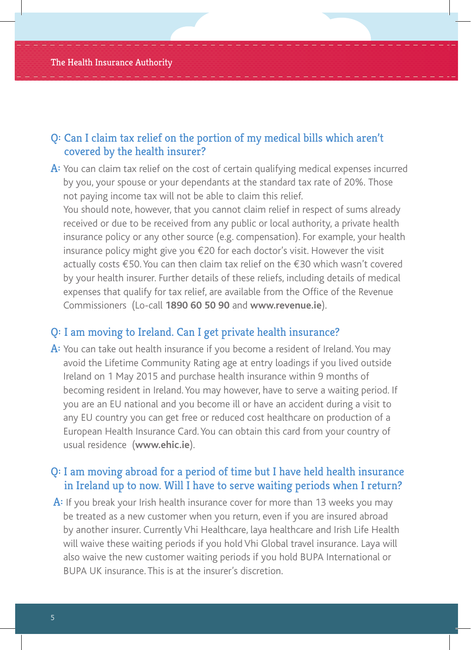#### Q: Can I claim tax relief on the portion of my medical bills which aren't covered by the health insurer?

A: You can claim tax relief on the cost of certain qualifying medical expenses incurred by you, your spouse or your dependants at the standard tax rate of 20%. Those not paying income tax will not be able to claim this relief.

You should note, however, that you cannot claim relief in respect of sums already received or due to be received from any public or local authority, a private health insurance policy or any other source (e.g. compensation). For example, your health insurance policy might give you  $E$  20 for each doctor's visit. However the visit actually costs €50. You can then claim tax relief on the €30 which wasn't covered by your health insurer. Further details of these reliefs, including details of medical expenses that qualify for tax relief, are available from the Office of the Revenue Commissioners (Lo-call **1890 60 50 90** and **www.revenue.ie**).

#### Q: I am moving to Ireland. Can I get private health insurance?

A: You can take out health insurance if you become a resident of Ireland. You may avoid the Lifetime Community Rating age at entry loadings if you lived outside Ireland on 1 May 2015 and purchase health insurance within 9 months of becoming resident in Ireland. You may however, have to serve a waiting period. If you are an EU national and you become ill or have an accident during a visit to any EU country you can get free or reduced cost healthcare on production of a European Health Insurance Card. You can obtain this card from your country of usual residence (**www.ehic.ie**).

#### Q: I am moving abroad for a period of time but I have held health insurance in Ireland up to now. Will I have to serve waiting periods when I return?

A: If you break your Irish health insurance cover for more than 13 weeks you may be treated as a new customer when you return, even if you are insured abroad by another insurer. Currently Vhi Healthcare, laya healthcare and Irish Life Health will waive these waiting periods if you hold Vhi Global travel insurance. Laya will also waive the new customer waiting periods if you hold BUPA International or BUPA UK insurance. This is at the insurer's discretion.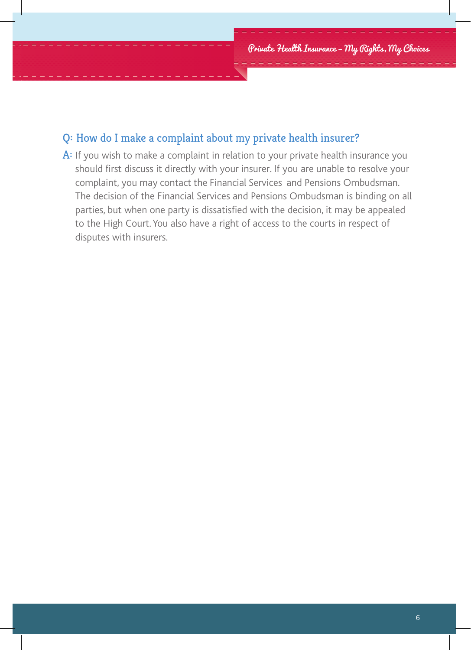#### Q: How do I make a complaint about my private health insurer?

A: If you wish to make a complaint in relation to your private health insurance you should first discuss it directly with your insurer. If you are unable to resolve your complaint, you may contact the Financial Services and Pensions Ombudsman. The decision of the Financial Services and Pensions Ombudsman is binding on all parties, but when one party is dissatisfied with the decision, it may be appealed to the High Court. You also have a right of access to the courts in respect of disputes with insurers.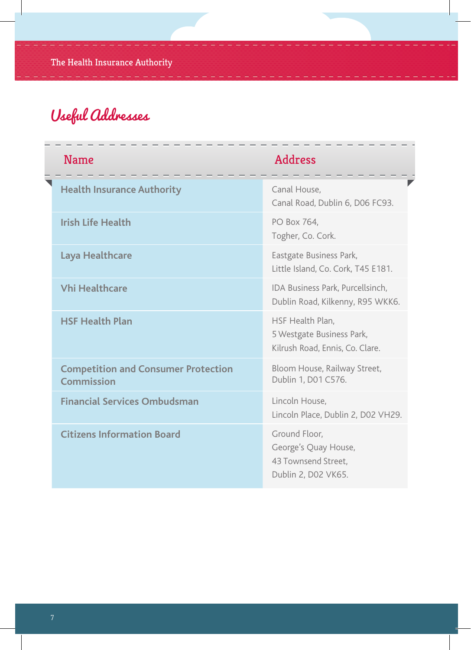## Useful Addresses

| <b>Name</b>                                              | <b>Address</b>                                                                      |  |
|----------------------------------------------------------|-------------------------------------------------------------------------------------|--|
| <b>Health Insurance Authority</b>                        | Canal House,<br>Canal Road, Dublin 6, D06 FC93.                                     |  |
| <b>Irish Life Health</b>                                 | PO Box 764,<br>Togher, Co. Cork.                                                    |  |
| Laya Healthcare                                          | Eastgate Business Park,<br>Little Island, Co. Cork, T45 E181.                       |  |
| <b>Vhi Healthcare</b>                                    | IDA Business Park, Purcellsinch,<br>Dublin Road, Kilkenny, R95 WKK6.                |  |
| <b>HSF Health Plan</b>                                   | HSF Health Plan.<br>5 Westgate Business Park,<br>Kilrush Road, Ennis, Co. Clare.    |  |
| <b>Competition and Consumer Protection</b><br>Commission | Bloom House, Railway Street,<br>Dublin 1, D01 C576.                                 |  |
| <b>Financial Services Ombudsman</b>                      | Lincoln House.<br>Lincoln Place, Dublin 2, D02 VH29.                                |  |
| <b>Citizens Information Board</b>                        | Ground Floor,<br>George's Quay House,<br>43 Townsend Street.<br>Dublin 2, D02 VK65. |  |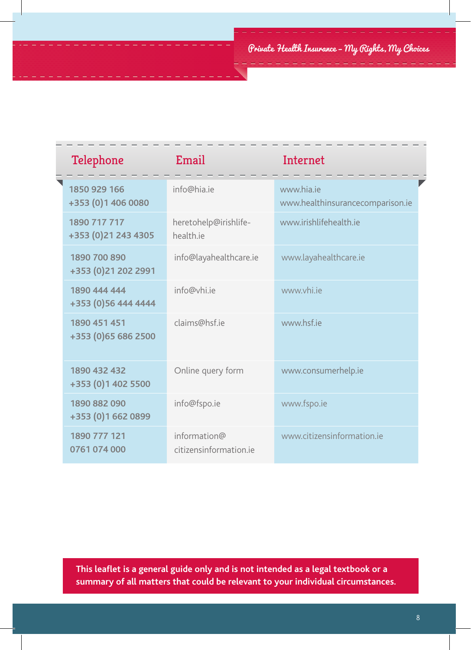| Telephone                           | Email                                  | Internet                                       |
|-------------------------------------|----------------------------------------|------------------------------------------------|
| 1850 929 166<br>+353 (0) 1 406 0080 | info@hia.ie                            | www.hia.je<br>www.healthinsurancecomparison.ie |
| 1890 717 717<br>+353 (0)21 243 4305 | heretohelp@irishlife-<br>health.je     | www.irishlifehealth.je                         |
| 1890 700 890<br>+353 (0)21 202 2991 | info@layahealthcare.ie                 | www.layahealthcare.ie                          |
| 1890 444 444<br>+353 (0)56 444 4444 | info@vhi.je                            | www.vhi.ie                                     |
| 1890 451 451<br>+353 (0)65 686 2500 | claims@hsf.je                          | www.hsf.ie                                     |
| 1890 432 432<br>+353 (0)1 402 5500  | Online query form                      | www.consumerhelp.ie                            |
| 1890 882 090<br>+353 (0)1 662 0899  | info@fspo.ie                           | www.fspo.ie                                    |
| 1890 777 121<br>0761 074 000        | information@<br>citizensinformation.je | www.citizensinformation.je                     |

**This leaflet is a general guide only and is not intended as a legal textbook or a summary of all matters that could be relevant to your individual circumstances.**